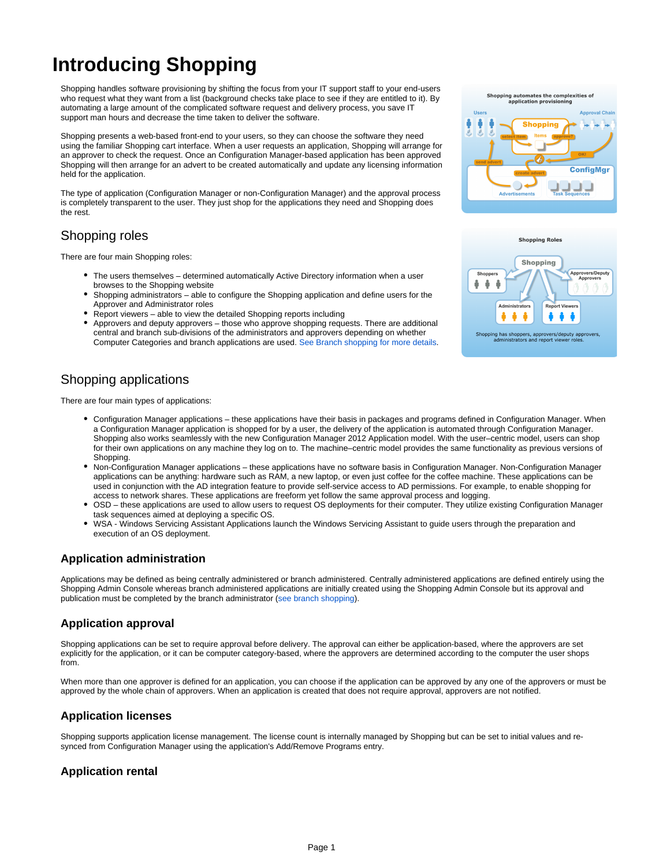# **Introducing Shopping**

Shopping handles software provisioning by shifting the focus from your IT support staff to your end-users who request what they want from a list (background checks take place to see if they are entitled to it). By automating a large amount of the complicated software request and delivery process, you save IT support man hours and decrease the time taken to deliver the software.

Shopping presents a web-based front-end to your users, so they can choose the software they need using the familiar Shopping cart interface. When a user requests an application, Shopping will arrange for an approver to check the request. Once an Configuration Manager-based application has been approved Shopping will then arrange for an advert to be created automatically and update any licensing information held for the application.

The type of application (Configuration Manager or non-Configuration Manager) and the approval process is completely transparent to the user. They just shop for the applications they need and Shopping does the rest.

## Shopping roles

There are four main Shopping roles:

- The users themselves determined automatically Active Directory information when a user browses to the Shopping website
- Shopping administrators able to configure the Shopping application and define users for the Approver and Administrator roles
- Report viewers able to view the detailed Shopping reports including
- Approvers and deputy approvers those who approve shopping requests. There are additional central and branch sub-divisions of the administrators and approvers depending on whether Computer Categories and branch applications are used. [See Branch shopping for more details](#page-1-0).

# Shopping applications

There are four main types of applications:

- Configuration Manager applications these applications have their basis in packages and programs defined in Configuration Manager. When a Configuration Manager application is shopped for by a user, the delivery of the application is automated through Configuration Manager. Shopping also works seamlessly with the new Configuration Manager 2012 Application model. With the user–centric model, users can shop for their own applications on any machine they log on to. The machine–centric model provides the same functionality as previous versions of **Shopping**
- Non-Configuration Manager applications these applications have no software basis in Configuration Manager. Non-Configuration Manager applications can be anything: hardware such as RAM, a new laptop, or even just coffee for the coffee machine. These applications can be used in conjunction with the AD integration feature to provide self-service access to AD permissions. For example, to enable shopping for access to network shares. These applications are freeform yet follow the same approval process and logging.
- OSD these applications are used to allow users to request OS deployments for their computer. They utilize existing Configuration Manager task sequences aimed at deploying a specific OS.
- WSA Windows Servicing Assistant Applications launch the Windows Servicing Assistant to guide users through the preparation and execution of an OS deployment.

## **Application administration**

Applications may be defined as being centrally administered or branch administered. Centrally administered applications are defined entirely using the Shopping Admin Console whereas branch administered applications are initially created using the Shopping Admin Console but its approval and publication must be completed by the branch administrator [\(see branch shopping](#page-1-0)).

## **Application approval**

Shopping applications can be set to require approval before delivery. The approval can either be application-based, where the approvers are set explicitly for the application, or it can be computer category-based, where the approvers are determined according to the computer the user shops from.

When more than one approver is defined for an application, you can choose if the application can be approved by any one of the approvers or must be approved by the whole chain of approvers. When an application is created that does not require approval, approvers are not notified.

## **Application licenses**

Shopping supports application license management. The license count is internally managed by Shopping but can be set to initial values and resynced from Configuration Manager using the application's Add/Remove Programs entry.

## **Application rental**



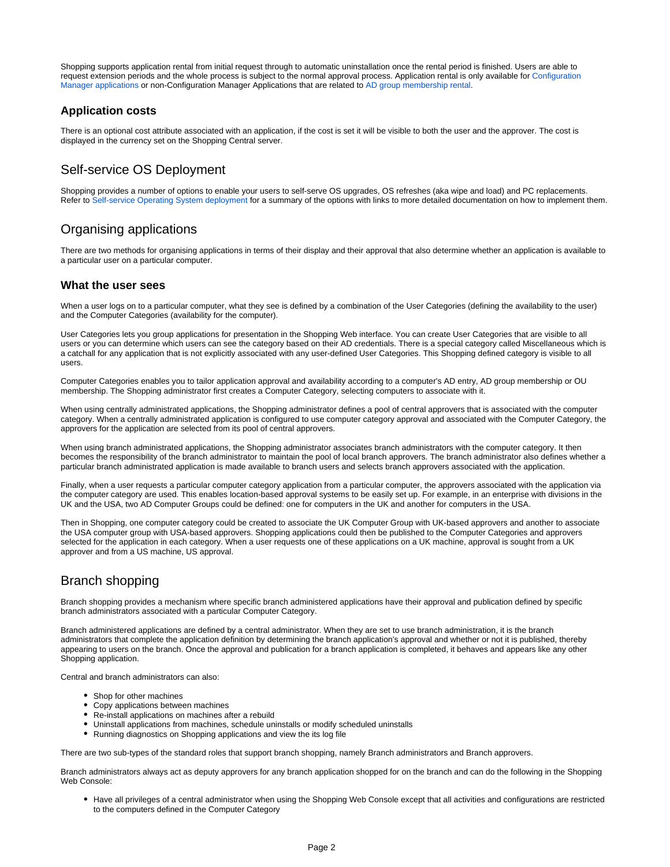Shopping supports application rental from initial request through to automatic uninstallation once the rental period is finished. Users are able to request extension periods and the whole process is subject to the normal approval process. Application rental is only available for [Configuration](https://help.1e.com/display/SHP56/Managing+Configuration+Manager+applications)  [Manager applications](https://help.1e.com/display/SHP56/Managing+Configuration+Manager+applications) or non-Configuration Manager Applications that are related to [AD group membership rental](https://help.1e.com/display/SHP56/AD+group+membership+rental).

#### **Application costs**

There is an optional cost attribute associated with an application, if the cost is set it will be visible to both the user and the approver. The cost is displayed in the currency set on the Shopping Central server.

# Self-service OS Deployment

Shopping provides a number of options to enable your users to self-serve OS upgrades, OS refreshes (aka wipe and load) and PC replacements. Refer to [Self-service Operating System deployment](https://help.1e.com/display/SHP56/Self-service+Operating+System+deployment) for a summary of the options with links to more detailed documentation on how to implement them.

# Organising applications

There are two methods for organising applications in terms of their display and their approval that also determine whether an application is available to a particular user on a particular computer.

#### **What the user sees**

When a user logs on to a particular computer, what they see is defined by a combination of the User Categories (defining the availability to the user) and the Computer Categories (availability for the computer).

User Categories lets you group applications for presentation in the Shopping Web interface. You can create User Categories that are visible to all users or you can determine which users can see the category based on their AD credentials. There is a special category called Miscellaneous which is a catchall for any application that is not explicitly associated with any user-defined User Categories. This Shopping defined category is visible to all users.

Computer Categories enables you to tailor application approval and availability according to a computer's AD entry, AD group membership or OU membership. The Shopping administrator first creates a Computer Category, selecting computers to associate with it.

When using centrally administrated applications, the Shopping administrator defines a pool of central approvers that is associated with the computer category. When a centrally administrated application is configured to use computer category approval and associated with the Computer Category, the approvers for the application are selected from its pool of central approvers.

When using branch administrated applications, the Shopping administrator associates branch administrators with the computer category. It then becomes the responsibility of the branch administrator to maintain the pool of local branch approvers. The branch administrator also defines whether a particular branch administrated application is made available to branch users and selects branch approvers associated with the application.

Finally, when a user requests a particular computer category application from a particular computer, the approvers associated with the application via the computer category are used. This enables location-based approval systems to be easily set up. For example, in an enterprise with divisions in the UK and the USA, two AD Computer Groups could be defined: one for computers in the UK and another for computers in the USA.

Then in Shopping, one computer category could be created to associate the UK Computer Group with UK-based approvers and another to associate the USA computer group with USA-based approvers. Shopping applications could then be published to the Computer Categories and approvers selected for the application in each category. When a user requests one of these applications on a UK machine, approval is sought from a UK approver and from a US machine, US approval.

# <span id="page-1-0"></span>Branch shopping

Branch shopping provides a mechanism where specific branch administered applications have their approval and publication defined by specific branch administrators associated with a particular Computer Category.

Branch administered applications are defined by a central administrator. When they are set to use branch administration, it is the branch administrators that complete the application definition by determining the branch application's approval and whether or not it is published, thereby appearing to users on the branch. Once the approval and publication for a branch application is completed, it behaves and appears like any other Shopping application.

Central and branch administrators can also:

- Shop for other machines
- Copy applications between machines
- Re-install applications on machines after a rebuild
- Uninstall applications from machines, schedule uninstalls or modify scheduled uninstalls
- Running diagnostics on Shopping applications and view the its log file

There are two sub-types of the standard roles that support branch shopping, namely Branch administrators and Branch approvers.

Branch administrators always act as deputy approvers for any branch application shopped for on the branch and can do the following in the Shopping Web Console:

Have all privileges of a central administrator when using the Shopping Web Console except that all activities and configurations are restricted to the computers defined in the Computer Category